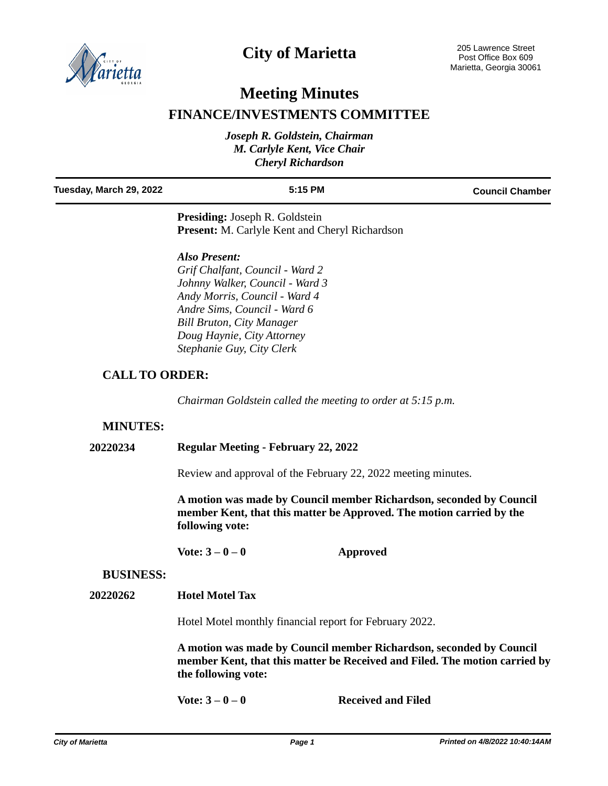

# **City of Marietta**

# **Meeting Minutes**

## **FINANCE/INVESTMENTS COMMITTEE**

| Joseph R. Goldstein, Chairman |  |  |  |
|-------------------------------|--|--|--|
| M. Carlyle Kent, Vice Chair   |  |  |  |
| <b>Cheryl Richardson</b>      |  |  |  |

| Tuesday, March 29, 2022                                                                        | $5:15$ PM | <b>Council Chamber</b> |
|------------------------------------------------------------------------------------------------|-----------|------------------------|
| <b>Presiding:</b> Joseph R. Goldstein<br><b>Present:</b> M. Carlyle Kent and Cheryl Richardson |           |                        |

*Also Present: Grif Chalfant, Council - Ward 2 Johnny Walker, Council - Ward 3 Andy Morris, Council - Ward 4 Andre Sims, Council - Ward 6 Bill Bruton, City Manager Doug Haynie, City Attorney Stephanie Guy, City Clerk*

### **CALL TO ORDER:**

*Chairman Goldstein called the meeting to order at 5:15 p.m.*

### **MINUTES:**

#### **20220234 Regular Meeting - February 22, 2022**

Review and approval of the February 22, 2022 meeting minutes.

**A motion was made by Council member Richardson, seconded by Council member Kent, that this matter be Approved. The motion carried by the following vote:**

**Vote: 3 – 0 – 0 Approved**

#### **BUSINESS:**

**20220262 Hotel Motel Tax**

Hotel Motel monthly financial report for February 2022.

**A motion was made by Council member Richardson, seconded by Council member Kent, that this matter be Received and Filed. The motion carried by the following vote:**

**Vote: 3 – 0 – 0 Received and Filed**